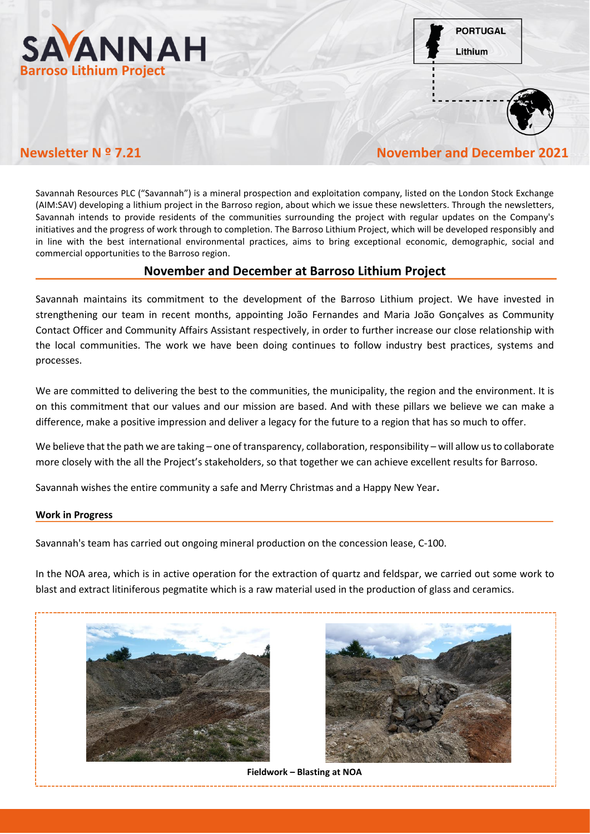

**PORTUGAL** Lithium



**Newsletter N º 7.21 November and December 2021**

Savannah Resources PLC ("Savannah") is a mineral prospection and exploitation company, listed on the London Stock Exchange (AIM:SAV) developing a lithium project in the Barroso region, about which we issue these newsletters. Through the newsletters, Savannah intends to provide residents of the communities surrounding the project with regular updates on the Company's initiatives and the progress of work through to completion. The Barroso Lithium Project, which will be developed responsibly and in line with the best international environmental practices, aims to bring exceptional economic, demographic, social and commercial opportunities to the Barroso region.

# **November and December at Barroso Lithium Project**

Savannah maintains its commitment to the development of the Barroso Lithium project. We have invested in strengthening our team in recent months, appointing João Fernandes and Maria João Gonçalves as Community Contact Officer and Community Affairs Assistant respectively, in order to further increase our close relationship with the local communities. The work we have been doing continues to follow industry best practices, systems and processes.

We are committed to delivering the best to the communities, the municipality, the region and the environment. It is on this commitment that our values and our mission are based. And with these pillars we believe we can make a difference, make a positive impression and deliver a legacy for the future to a region that has so much to offer.

We believe that the path we are taking – one of transparency, collaboration, responsibility – will allow us to collaborate more closely with the all the Project's stakeholders, so that together we can achieve excellent results for Barroso.

Savannah wishes the entire community a safe and Merry Christmas and a Happy New Year.

# **Work in Progress**

Savannah's team has carried out ongoing mineral production on the concession lease, C-100.

In the NOA area, which is in active operation for the extraction of quartz and feldspar, we carried out some work to blast and extract litiniferous pegmatite which is a raw material used in the production of glass and ceramics.





**Fieldwork – Blasting at NOA**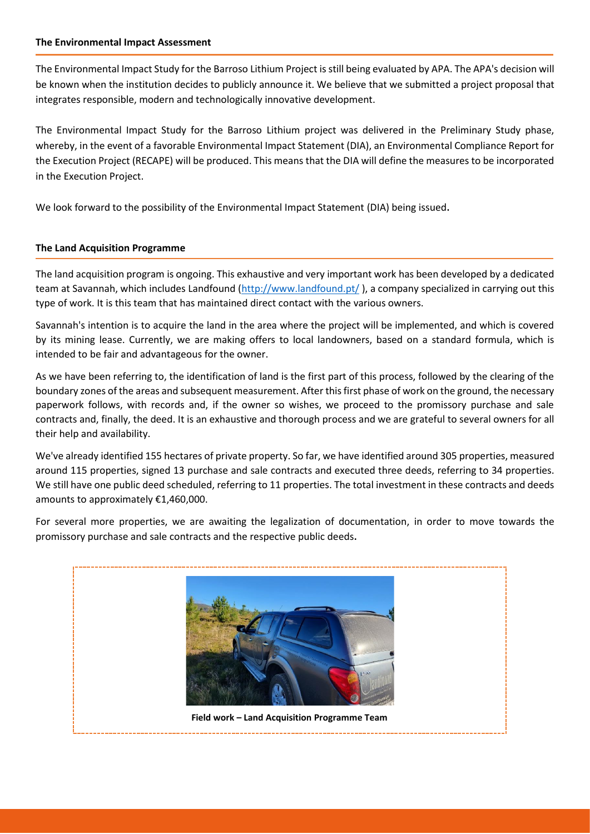#### **The Environmental Impact Assessment**

The Environmental Impact Study for the Barroso Lithium Project is still being evaluated by APA. The APA's decision will be known when the institution decides to publicly announce it. We believe that we submitted a project proposal that integrates responsible, modern and technologically innovative development.

The Environmental Impact Study for the Barroso Lithium project was delivered in the Preliminary Study phase, whereby, in the event of a favorable Environmental Impact Statement (DIA), an Environmental Compliance Report for the Execution Project (RECAPE) will be produced. This means that the DIA will define the measures to be incorporated in the Execution Project.

We look forward to the possibility of the Environmental Impact Statement (DIA) being issued.

# **The Land Acquisition Programme**

The land acquisition program is ongoing. This exhaustive and very important work has been developed by a dedicated team at Savannah, which includes Landfound [\(http://www.landfound.pt/](http://www.landfound.pt/) ), a company specialized in carrying out this type of work. It is this team that has maintained direct contact with the various owners.

Savannah's intention is to acquire the land in the area where the project will be implemented, and which is covered by its mining lease. Currently, we are making offers to local landowners, based on a standard formula, which is intended to be fair and advantageous for the owner.

As we have been referring to, the identification of land is the first part of this process, followed by the clearing of the boundary zones of the areas and subsequent measurement. After this first phase of work on the ground, the necessary paperwork follows, with records and, if the owner so wishes, we proceed to the promissory purchase and sale contracts and, finally, the deed. It is an exhaustive and thorough process and we are grateful to several owners for all their help and availability.

We've already identified 155 hectares of private property. So far, we have identified around 305 properties, measured around 115 properties, signed 13 purchase and sale contracts and executed three deeds, referring to 34 properties. We still have one public deed scheduled, referring to 11 properties. The total investment in these contracts and deeds amounts to approximately €1,460,000.

For several more properties, we are awaiting the legalization of documentation, in order to move towards the promissory purchase and sale contracts and the respective public deeds.

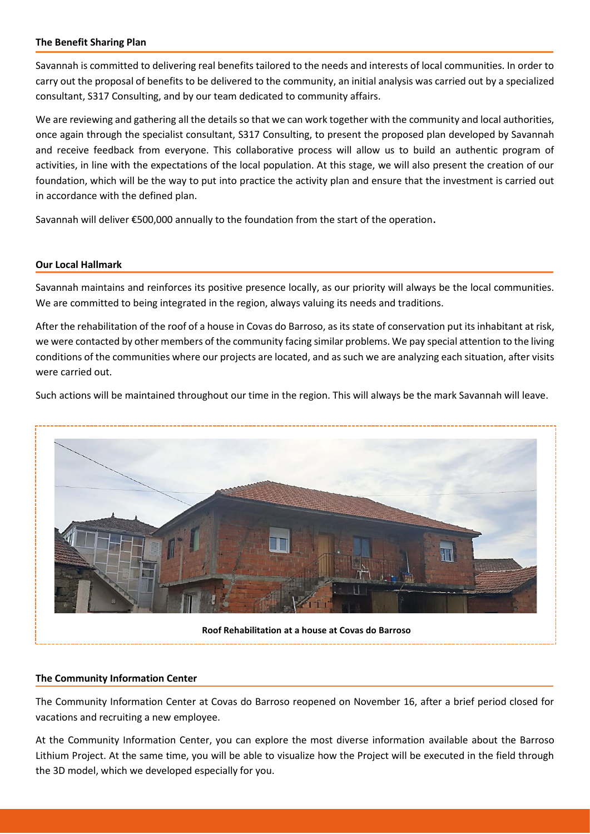#### **The Benefit Sharing Plan**

Savannah is committed to delivering real benefits tailored to the needs and interests of local communities. In order to carry out the proposal of benefits to be delivered to the community, an initial analysis was carried out by a specialized consultant, S317 Consulting, and by our team dedicated to community affairs.

We are reviewing and gathering all the details so that we can work together with the community and local authorities, once again through the specialist consultant, S317 Consulting, to present the proposed plan developed by Savannah and receive feedback from everyone. This collaborative process will allow us to build an authentic program of activities, in line with the expectations of the local population. At this stage, we will also present the creation of our foundation, which will be the way to put into practice the activity plan and ensure that the investment is carried out in accordance with the defined plan.

Savannah will deliver €500,000 annually to the foundation from the start of the operation.

# **Our Local Hallmark**

Savannah maintains and reinforces its positive presence locally, as our priority will always be the local communities. We are committed to being integrated in the region, always valuing its needs and traditions.

After the rehabilitation of the roof of a house in Covas do Barroso, as its state of conservation put its inhabitant at risk, we were contacted by other members of the community facing similar problems. We pay special attention to the living conditions of the communities where our projects are located, and as such we are analyzing each situation, after visits were carried out.

Such actions will be maintained throughout our time in the region. This will always be the mark Savannah will leave.



# **The Community Information Center**

The Community Information Center at Covas do Barroso reopened on November 16, after a brief period closed for vacations and recruiting a new employee.

At the Community Information Center, you can explore the most diverse information available about the Barroso Lithium Project. At the same time, you will be able to visualize how the Project will be executed in the field through the 3D model, which we developed especially for you.